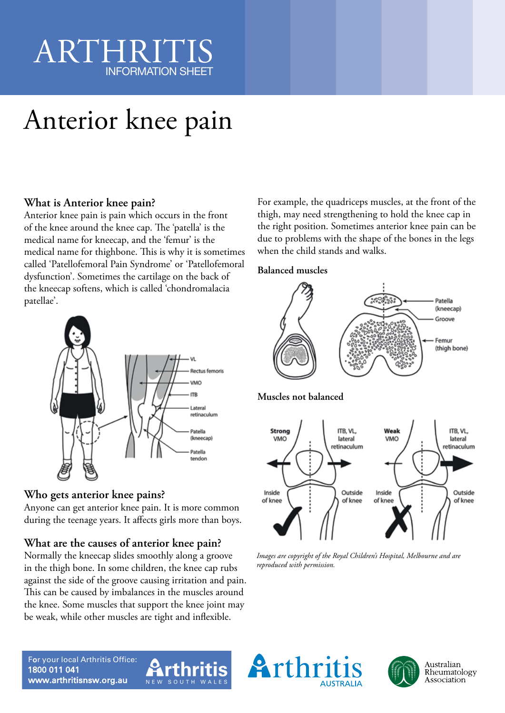## ARTHRIT INFORMATION SHEET

# Anterior knee pain

### **What is Anterior knee pain?**

Anterior knee pain is pain which occurs in the front of the knee around the knee cap. The 'patella' is the medical name for kneecap, and the 'femur' is the medical name for thighbone. This is why it is sometimes called 'Patellofemoral Pain Syndrome' or 'Patellofemoral dysfunction'. Sometimes the cartilage on the back of the kneecap softens, which is called 'chondromalacia patellae'.



### **Who gets anterior knee pains?**

Anyone can get anterior knee pain. It is more common during the teenage years. It affects girls more than boys.

### **What are the causes of anterior knee pain?**

Normally the kneecap slides smoothly along a groove in the thigh bone. In some children, the knee cap rubs against the side of the groove causing irritation and pain. This can be caused by imbalances in the muscles around the knee. Some muscles that support the knee joint may be weak, while other muscles are tight and inflexible.

For example, the quadriceps muscles, at the front of the thigh, may need strengthening to hold the knee cap in the right position. Sometimes anterior knee pain can be due to problems with the shape of the bones in the legs when the child stands and walks.

### **Balanced muscles**



*Images are copyright of the Royal Children's Hospital, Melbourne and are reproduced with permission.*





For your local Arthritis Office: 1800 011 041 www.arthritisnsw.org.au